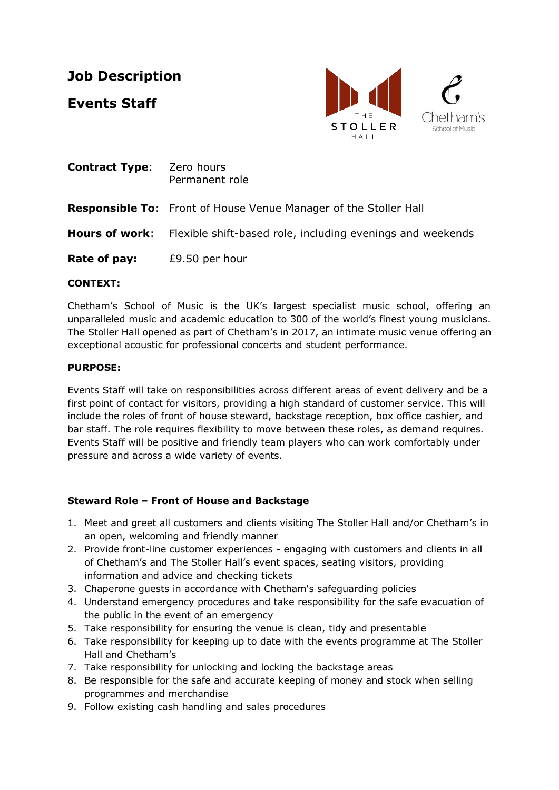# **Job Description**

**Events Staff**



| <b>Contract Type:</b> | Zero hours<br>Permanent role                                                     |
|-----------------------|----------------------------------------------------------------------------------|
|                       | <b>Responsible To:</b> Front of House Venue Manager of the Stoller Hall          |
|                       | <b>Hours of work:</b> Flexible shift-based role, including evenings and weekends |
| Rate of pay:          | £9.50 per hour                                                                   |

#### **CONTEXT:**

Chetham's School of Music is the UK's largest specialist music school, offering an unparalleled music and academic education to 300 of the world's finest young musicians. The Stoller Hall opened as part of Chetham's in 2017, an intimate music venue offering an exceptional acoustic for professional concerts and student performance.

#### **PURPOSE:**

Events Staff will take on responsibilities across different areas of event delivery and be a first point of contact for visitors, providing a high standard of customer service. This will include the roles of front of house steward, backstage reception, box office cashier, and bar staff. The role requires flexibility to move between these roles, as demand requires. Events Staff will be positive and friendly team players who can work comfortably under pressure and across a wide variety of events.

# **Steward Role – Front of House and Backstage**

- 1. Meet and greet all customers and clients visiting The Stoller Hall and/or Chetham's in an open, welcoming and friendly manner
- 2. Provide front-line customer experiences engaging with customers and clients in all of Chetham's and The Stoller Hall's event spaces, seating visitors, providing information and advice and checking tickets
- 3. Chaperone guests in accordance with Chetham's safeguarding policies
- 4. Understand emergency procedures and take responsibility for the safe evacuation of the public in the event of an emergency
- 5. Take responsibility for ensuring the venue is clean, tidy and presentable
- 6. Take responsibility for keeping up to date with the events programme at The Stoller Hall and Chetham's
- 7. Take responsibility for unlocking and locking the backstage areas
- 8. Be responsible for the safe and accurate keeping of money and stock when selling programmes and merchandise
- 9. Follow existing cash handling and sales procedures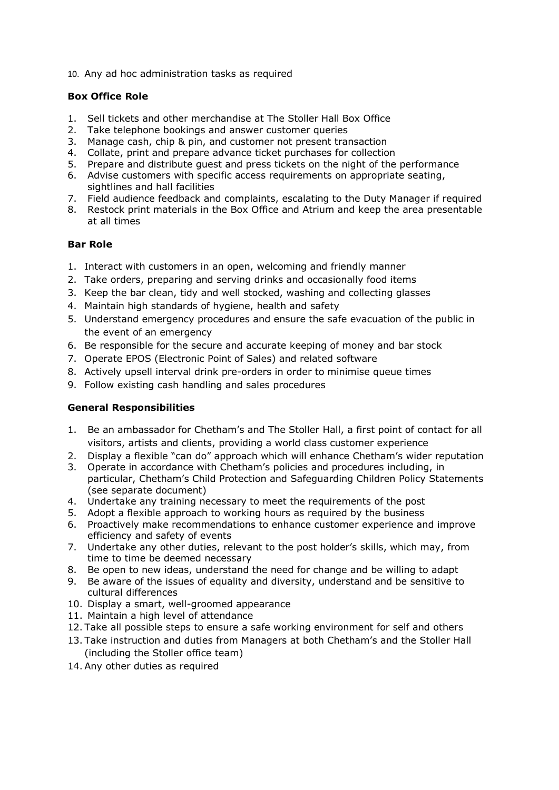10. Any ad hoc administration tasks as required

#### **Box Office Role**

- 1. Sell tickets and other merchandise at The Stoller Hall Box Office
- 2. Take telephone bookings and answer customer queries
- 3. Manage cash, chip & pin, and customer not present transaction
- 4. Collate, print and prepare advance ticket purchases for collection
- 5. Prepare and distribute guest and press tickets on the night of the performance
- 6. Advise customers with specific access requirements on appropriate seating, sightlines and hall facilities
- 7. Field audience feedback and complaints, escalating to the Duty Manager if required
- 8. Restock print materials in the Box Office and Atrium and keep the area presentable at all times

#### **Bar Role**

- 1. Interact with customers in an open, welcoming and friendly manner
- 2. Take orders, preparing and serving drinks and occasionally food items
- 3. Keep the bar clean, tidy and well stocked, washing and collecting glasses
- 4. Maintain high standards of hygiene, health and safety
- 5. Understand emergency procedures and ensure the safe evacuation of the public in the event of an emergency
- 6. Be responsible for the secure and accurate keeping of money and bar stock
- 7. Operate EPOS (Electronic Point of Sales) and related software
- 8. Actively upsell interval drink pre-orders in order to minimise queue times
- 9. Follow existing cash handling and sales procedures

#### **General Responsibilities**

- 1. Be an ambassador for Chetham's and The Stoller Hall, a first point of contact for all visitors, artists and clients, providing a world class customer experience
- 2. Display a flexible "can do" approach which will enhance Chetham's wider reputation
- 3. Operate in accordance with Chetham's policies and procedures including, in particular, Chetham's Child Protection and Safeguarding Children Policy Statements (see separate document)
- 4. Undertake any training necessary to meet the requirements of the post
- 5. Adopt a flexible approach to working hours as required by the business
- 6. Proactively make recommendations to enhance customer experience and improve efficiency and safety of events
- 7. Undertake any other duties, relevant to the post holder's skills, which may, from time to time be deemed necessary
- 8. Be open to new ideas, understand the need for change and be willing to adapt
- 9. Be aware of the issues of equality and diversity, understand and be sensitive to cultural differences
- 10. Display a smart, well-groomed appearance
- 11. Maintain a high level of attendance
- 12. Take all possible steps to ensure a safe working environment for self and others
- 13. Take instruction and duties from Managers at both Chetham's and the Stoller Hall (including the Stoller office team)
- 14. Any other duties as required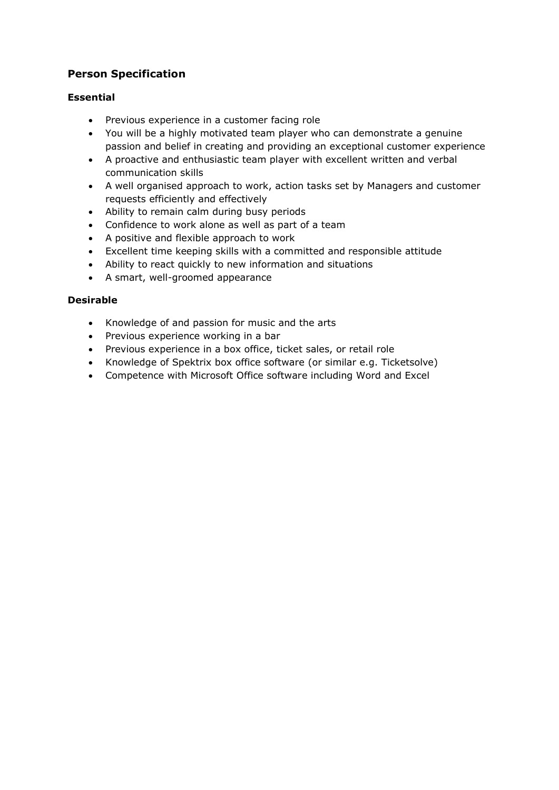# **Person Specification**

## **Essential**

- Previous experience in a customer facing role
- You will be a highly motivated team player who can demonstrate a genuine passion and belief in creating and providing an exceptional customer experience
- A proactive and enthusiastic team player with excellent written and verbal communication skills
- A well organised approach to work, action tasks set by Managers and customer requests efficiently and effectively
- Ability to remain calm during busy periods
- Confidence to work alone as well as part of a team
- A positive and flexible approach to work
- Excellent time keeping skills with a committed and responsible attitude
- Ability to react quickly to new information and situations
- A smart, well-groomed appearance

#### **Desirable**

- Knowledge of and passion for music and the arts
- Previous experience working in a bar
- Previous experience in a box office, ticket sales, or retail role
- Knowledge of Spektrix box office software (or similar e.g. Ticketsolve)
- Competence with Microsoft Office software including Word and Excel